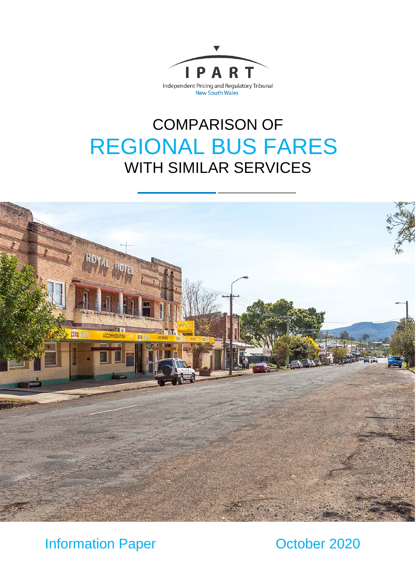

# COMPARISON OF REGIONAL BUS FARES WITH SIMILAR SERVICES



Information Paper **October 2020**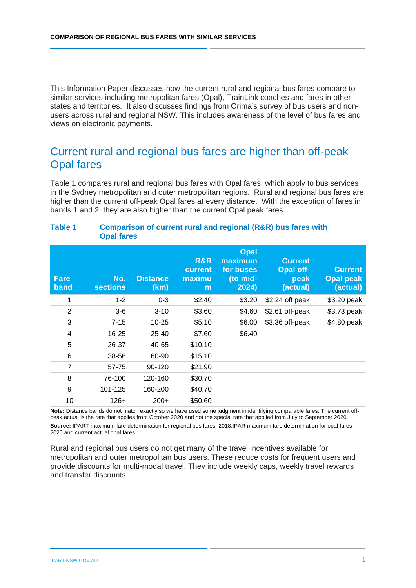This Information Paper discusses how the current rural and regional bus fares compare to similar services including metropolitan fares (Opal), TrainLink coaches and fares in other states and territories. It also discusses findings from Orima's survey of bus users and nonusers across rural and regional NSW. This includes awareness of the level of bus fares and views on electronic payments.

### Current rural and regional bus fares are higher than off-peak Opal fares

Table 1 compares rural and regional bus fares with Opal fares, which apply to bus services in the Sydney metropolitan and outer metropolitan regions. Rural and regional bus fares are higher than the current off-peak Opal fares at every distance. With the exception of fares in bands 1 and 2, they are also higher than the current Opal peak fares.

| <b>Table 1</b> | Comparison of current rural and regional (R&R) bus fares with |
|----------------|---------------------------------------------------------------|
|                | <b>Opal fares</b>                                             |

| <b>Fare</b><br>band | No.<br><b>sections</b> | <b>Distance</b><br>(km) | R&R<br>current<br>maximu<br>m | Opal<br>maximum<br>for buses<br>(to mid-<br>2024) | <b>Current</b><br><b>Opal off-</b><br>peak<br>(actual) | <b>Current</b><br><b>Opal peak</b><br>(actual) |
|---------------------|------------------------|-------------------------|-------------------------------|---------------------------------------------------|--------------------------------------------------------|------------------------------------------------|
| 1                   | $1 - 2$                | $0 - 3$                 | \$2.40                        | \$3.20                                            | \$2.24 off peak                                        | \$3.20 peak                                    |
| $\overline{2}$      | $3-6$                  | $3-10$                  | \$3.60                        | \$4.60                                            | \$2.61 off-peak                                        | \$3.73 peak                                    |
| 3                   | $7 - 15$               | $10 - 25$               | \$5.10                        | \$6.00                                            | \$3.36 off-peak                                        | \$4.80 peak                                    |
| 4                   | 16-25                  | $25 - 40$               | \$7.60                        | \$6.40                                            |                                                        |                                                |
| 5                   | 26-37                  | 40-65                   | \$10.10                       |                                                   |                                                        |                                                |
| 6                   | 38-56                  | 60-90                   | \$15.10                       |                                                   |                                                        |                                                |
| $\overline{7}$      | 57-75                  | 90-120                  | \$21.90                       |                                                   |                                                        |                                                |
| 8                   | 76-100                 | 120-160                 | \$30.70                       |                                                   |                                                        |                                                |
| 9                   | 101-125                | 160-200                 | \$40.70                       |                                                   |                                                        |                                                |
| 10                  | $126+$                 | $200+$                  | \$50.60                       |                                                   |                                                        |                                                |

**Note:** Distance bands do not match exactly so we have used some judgment in identifying comparable fares. The current offpeak actual is the rate that applies from October 2020 and not the special rate that applied from July to September 2020. **Source:** IPART maximum fare determination for regional bus fares, 2018,IPAR maximum fare determination for opal fares 2020 and current actual opal fares

Rural and regional bus users do not get many of the travel incentives available for metropolitan and outer metropolitan bus users. These reduce costs for frequent users and provide discounts for multi-modal travel. They include weekly caps, weekly travel rewards and transfer discounts.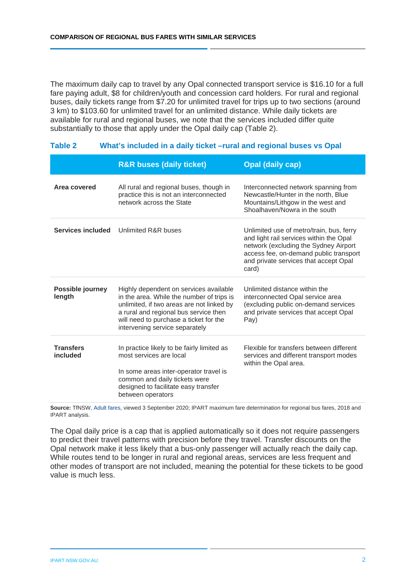The maximum daily cap to travel by any Opal connected transport service is \$16.10 for a full fare paying adult, \$8 for children/youth and concession card holders. For rural and regional buses, daily tickets range from \$7.20 for unlimited travel for trips up to two sections (around 3 km) to \$103.60 for unlimited travel for an unlimited distance. While daily tickets are available for rural and regional buses, we note that the services included differ quite substantially to those that apply under the Opal daily cap [\(Table 2\)](#page-2-0).

|                              | <b>R&amp;R buses (daily ticket)</b>                                                                                                                                                                                                                   | <b>Opal (daily cap)</b>                                                                                                                                                                                                  |
|------------------------------|-------------------------------------------------------------------------------------------------------------------------------------------------------------------------------------------------------------------------------------------------------|--------------------------------------------------------------------------------------------------------------------------------------------------------------------------------------------------------------------------|
| Area covered                 | All rural and regional buses, though in<br>practice this is not an interconnected<br>network across the State                                                                                                                                         | Interconnected network spanning from<br>Newcastle/Hunter in the north, Blue<br>Mountains/Lithgow in the west and<br>Shoalhaven/Nowra in the south                                                                        |
| <b>Services included</b>     | Unlimited R&R buses                                                                                                                                                                                                                                   | Unlimited use of metro/train, bus, ferry<br>and light rail services within the Opal<br>network (excluding the Sydney Airport<br>access fee, on-demand public transport<br>and private services that accept Opal<br>card) |
| Possible journey<br>length   | Highly dependent on services available<br>in the area. While the number of trips is<br>unlimited, if two areas are not linked by<br>a rural and regional bus service then<br>will need to purchase a ticket for the<br>intervening service separately | Unlimited distance within the<br>interconnected Opal service area<br>(excluding public on-demand services<br>and private services that accept Opal<br>Pay)                                                               |
| <b>Transfers</b><br>included | In practice likely to be fairly limited as<br>most services are local<br>In some areas inter-operator travel is<br>common and daily tickets were<br>designed to facilitate easy transfer<br>between operators                                         | Flexible for transfers between different<br>services and different transport modes<br>within the Opal area.                                                                                                              |

#### <span id="page-2-0"></span>**Table 2 What's included in a daily ticket –rural and regional buses vs Opal**

**Source:** TfNSW, [Adult fares,](https://transportnsw.info/tickets-opal/opal/fares-payments/adult-fares) viewed 3 September 2020; IPART maximum fare determination for regional bus fares, 2018 and IPART analysis.

The Opal daily price is a cap that is applied automatically so it does not require passengers to predict their travel patterns with precision before they travel. Transfer discounts on the Opal network make it less likely that a bus-only passenger will actually reach the daily cap. While routes tend to be longer in rural and regional areas, services are less frequent and other modes of transport are not included, meaning the potential for these tickets to be good value is much less.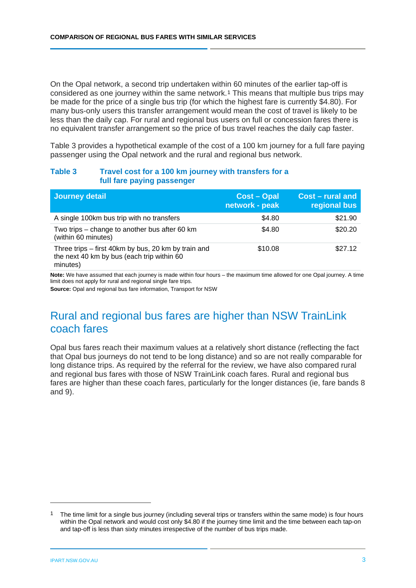On the Opal network, a second trip undertaken within 60 minutes of the earlier tap-off is considered as one journey within the same network.[1](#page-3-1) This means that multiple bus trips may be made for the price of a single bus trip (for which the highest fare is currently \$4.80). For many bus-only users this transfer arrangement would mean the cost of travel is likely to be less than the daily cap. For rural and regional bus users on full or concession fares there is no equivalent transfer arrangement so the price of bus travel reaches the daily cap faster.

[Table 3](#page-3-0) provides a hypothetical example of the cost of a 100 km journey for a full fare paying passenger using the Opal network and the rural and regional bus network.

### <span id="page-3-0"></span>**Table 3 Travel cost for a 100 km journey with transfers for a full fare paying passenger**

| Journey detail                                                                                                | <b>Cost – Opal</b><br>network - peak | Cost – rural and<br>regional bus |
|---------------------------------------------------------------------------------------------------------------|--------------------------------------|----------------------------------|
| A single 100km bus trip with no transfers                                                                     | \$4.80                               | \$21.90                          |
| Two trips – change to another bus after 60 km<br>(within 60 minutes)                                          | \$4.80                               | \$20.20                          |
| Three trips – first 40km by bus, 20 km by train and<br>the next 40 km by bus (each trip within 60<br>minutes) | \$10.08                              | \$27.12                          |

**Note:** We have assumed that each journey is made within four hours – the maximum time allowed for one Opal journey. A time limit does not apply for rural and regional single fare trips.

**Source:** Opal and regional bus fare information, Transport for NSW

## Rural and regional bus fares are higher than NSW TrainLink coach fares

Opal bus fares reach their maximum values at a relatively short distance (reflecting the fact that Opal bus journeys do not tend to be long distance) and so are not really comparable for long distance trips. As required by the referral for the review, we have also compared rural and regional bus fares with those of NSW TrainLink coach fares. Rural and regional bus fares are higher than these coach fares, particularly for the longer distances (ie, fare bands 8 and 9).

<span id="page-3-1"></span><sup>1</sup> The time limit for a single bus journey (including several trips or transfers within the same mode) is four hours within the Opal network and would cost only \$4.80 if the journey time limit and the time between each tap-on and tap-off is less than sixty minutes irrespective of the number of bus trips made.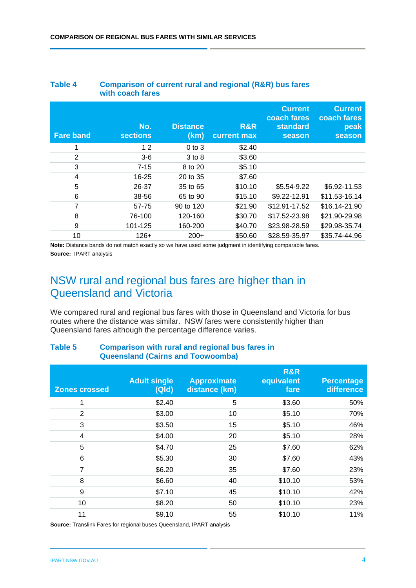|                  | with coach fares       |                         |                    |                                                            |                                                 |
|------------------|------------------------|-------------------------|--------------------|------------------------------------------------------------|-------------------------------------------------|
| <b>Fare band</b> | No.<br><b>sections</b> | <b>Distance</b><br>(km) | R&R<br>current max | <b>Current</b><br>coach fares<br><b>standard</b><br>season | <b>Current</b><br>coach fares<br>peak<br>season |
| 1                | 12                     | $0$ to $3$              | \$2.40             |                                                            |                                                 |
| 2                | $3-6$                  | 3 to 8                  | \$3.60             |                                                            |                                                 |
| 3                | $7 - 15$               | 8 to 20                 | \$5.10             |                                                            |                                                 |
| 4                | $16 - 25$              | 20 to 35                | \$7.60             |                                                            |                                                 |
| 5                | 26-37                  | 35 to 65                | \$10.10            | \$5.54-9.22                                                | \$6.92-11.53                                    |
| 6                | 38-56                  | 65 to 90                | \$15.10            | \$9.22-12.91                                               | \$11.53-16.14                                   |
| $\overline{7}$   | 57-75                  | 90 to 120               | \$21.90            | \$12.91-17.52                                              | \$16.14-21.90                                   |
| 8                | 76-100                 | 120-160                 | \$30.70            | \$17.52-23.98                                              | \$21.90-29.98                                   |
| 9                | 101-125                | 160-200                 | \$40.70            | \$23.98-28.59                                              | \$29.98-35.74                                   |
| 10               | $126+$                 | $200+$                  | \$50.60            | \$28.59-35.97                                              | \$35.74-44.96                                   |

## **Table 4 Comparison of current rural and regional (R&R) bus fares**

**Note:** Distance bands do not match exactly so we have used some judgment in identifying comparable fares. **Source:** IPART analysis

## NSW rural and regional bus fares are higher than in Queensland and Victoria

We compared rural and regional bus fares with those in Queensland and Victoria for bus routes where the distance was similar. NSW fares were consistently higher than Queensland fares although the percentage difference varies.

| <b>Zones crossed</b> | <b>Adult single</b><br>(Qld) | <b>Approximate</b><br>distance (km) | <b>R&amp;R</b><br>equivalent<br>fare | <b>Percentage</b><br>difference |  |
|----------------------|------------------------------|-------------------------------------|--------------------------------------|---------------------------------|--|
| 1                    | \$2.40                       | 5                                   | \$3.60                               | 50%                             |  |
| 2                    | \$3.00                       | 10                                  | \$5.10                               | 70%                             |  |
| 3                    | \$3.50                       | 15                                  | \$5.10                               | 46%                             |  |
| 4                    | \$4.00                       | 20                                  | \$5.10                               | 28%                             |  |
| 5                    | \$4.70                       | 25                                  | \$7.60                               | 62%                             |  |
| 6                    | \$5.30                       | 30                                  | \$7.60                               | 43%                             |  |
| $\overline{7}$       | \$6.20                       | 35                                  | \$7.60                               | 23%                             |  |
| 8                    | \$6.60                       | 40                                  | \$10.10                              | 53%                             |  |
| 9                    | \$7.10                       | 45                                  | \$10.10                              | 42%                             |  |
| 10                   | \$8.20                       | 50                                  | \$10.10                              | 23%                             |  |
| 11                   | \$9.10                       | 55                                  | \$10.10                              | 11%                             |  |

### **Table 5 Comparison with rural and regional bus fares in Queensland (Cairns and Toowoomba)**

**Source:** Translink Fares for regional buses Queensland, IPART analysis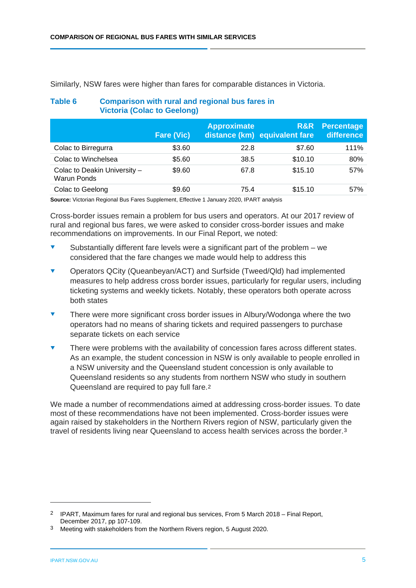**Table 6 Comparison with rural and regional bus fares in** 

**Victoria (Colac to Geelong)**

|                                                    | <b>Fare (Vic)</b> | <b>Approximate</b> | R&R<br>distance (km) equivalent fare | <b>Percentage</b><br>difference |
|----------------------------------------------------|-------------------|--------------------|--------------------------------------|---------------------------------|
| Colac to Birregurra                                | \$3.60            | 22.8               | \$7.60                               | 111%                            |
| Colac to Winchelsea                                | \$5.60            | 38.5               | \$10.10                              | 80%                             |
| Colac to Deakin University -<br><b>Warun Ponds</b> | \$9.60            | 67.8               | \$15.10                              | 57%                             |
| Colac to Geelong                                   | \$9.60            | 75.4               | \$15.10                              | 57%                             |

Similarly, NSW fares were higher than fares for comparable distances in Victoria.

**Source:** Victorian Regional Bus Fares Supplement, Effective 1 January 2020, IPART analysis

Cross-border issues remain a problem for bus users and operators. At our 2017 review of rural and regional bus fares, we were asked to consider cross-border issues and make recommendations on improvements. In our Final Report, we noted:

- Substantially different fare levels were a significant part of the problem we considered that the fare changes we made would help to address this
- Operators QCity (Queanbeyan/ACT) and Surfside (Tweed/Qld) had implemented measures to help address cross border issues, particularly for regular users, including ticketing systems and weekly tickets. Notably, these operators both operate across both states
- There were more significant cross border issues in Albury/Wodonga where the two operators had no means of sharing tickets and required passengers to purchase separate tickets on each service
- There were problems with the availability of concession fares across different states. As an example, the student concession in NSW is only available to people enrolled in a NSW university and the Queensland student concession is only available to Queensland residents so any students from northern NSW who study in southern Queensland are required to pay full fare.[2](#page-5-0)

We made a number of recommendations aimed at addressing cross-border issues. To date most of these recommendations have not been implemented. Cross-border issues were again raised by stakeholders in the Northern Rivers region of NSW, particularly given the travel of residents living near Queensland to access health services across the border.[3](#page-5-1) 

<span id="page-5-0"></span><sup>2</sup> IPART, Maximum fares for rural and regional bus services, From 5 March 2018 – Final Report, December 2017, pp 107-109.

<span id="page-5-1"></span><sup>3</sup> Meeting with stakeholders from the Northern Rivers region, 5 August 2020.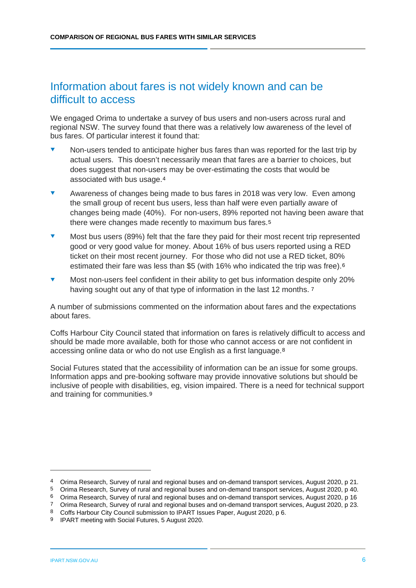## Information about fares is not widely known and can be difficult to access

We engaged Orima to undertake a survey of bus users and non-users across rural and regional NSW. The survey found that there was a relatively low awareness of the level of bus fares. Of particular interest it found that:

- Non-users tended to anticipate higher bus fares than was reported for the last trip by actual users. This doesn't necessarily mean that fares are a barrier to choices, but does suggest that non-users may be over-estimating the costs that would be associated with bus usage.[4](#page-6-0)
- Awareness of changes being made to bus fares in 2018 was very low. Even among the small group of recent bus users, less than half were even partially aware of changes being made (40%). For non-users, 89% reported not having been aware that there were changes made recently to maximum bus fares.[5](#page-6-1)
- Most bus users (89%) felt that the fare they paid for their most recent trip represented good or very good value for money. About 16% of bus users reported using a RED ticket on their most recent journey. For those who did not use a RED ticket, 80% estimated their fare was less than \$5 (with 16% who indicated the trip was free).[6](#page-6-2)
- Most non-users feel confident in their ability to get bus information despite only 20% having sought out any of that type of information in the last 12 months. 7

A number of submissions commented on the information about fares and the expectations about fares.

Coffs Harbour City Council stated that information on fares is relatively difficult to access and should be made more available, both for those who cannot access or are not confident in accessing online data or who do not use English as a first language.[8](#page-6-4)

Social Futures stated that the accessibility of information can be an issue for some groups. Information apps and pre-booking software may provide innovative solutions but should be inclusive of people with disabilities, eg, vision impaired. There is a need for technical support and training for communities.[9](#page-6-5)

<span id="page-6-0"></span><sup>4</sup> Orima Research, Survey of rural and regional buses and on-demand transport services, August 2020, p 21.

<span id="page-6-1"></span><sup>5</sup> Orima Research, Survey of rural and regional buses and on-demand transport services, August 2020, p 40.

<span id="page-6-2"></span><sup>6</sup> Orima Research, Survey of rural and regional buses and on-demand transport services, August 2020, p 16

<span id="page-6-3"></span><sup>7</sup> Orima Research, Survey of rural and regional buses and on-demand transport services, August 2020, p 23.

<span id="page-6-4"></span><sup>8</sup> Coffs Harbour City Council submission to IPART Issues Paper, August 2020, p 6.

<span id="page-6-5"></span><sup>9</sup> IPART meeting with Social Futures, 5 August 2020.